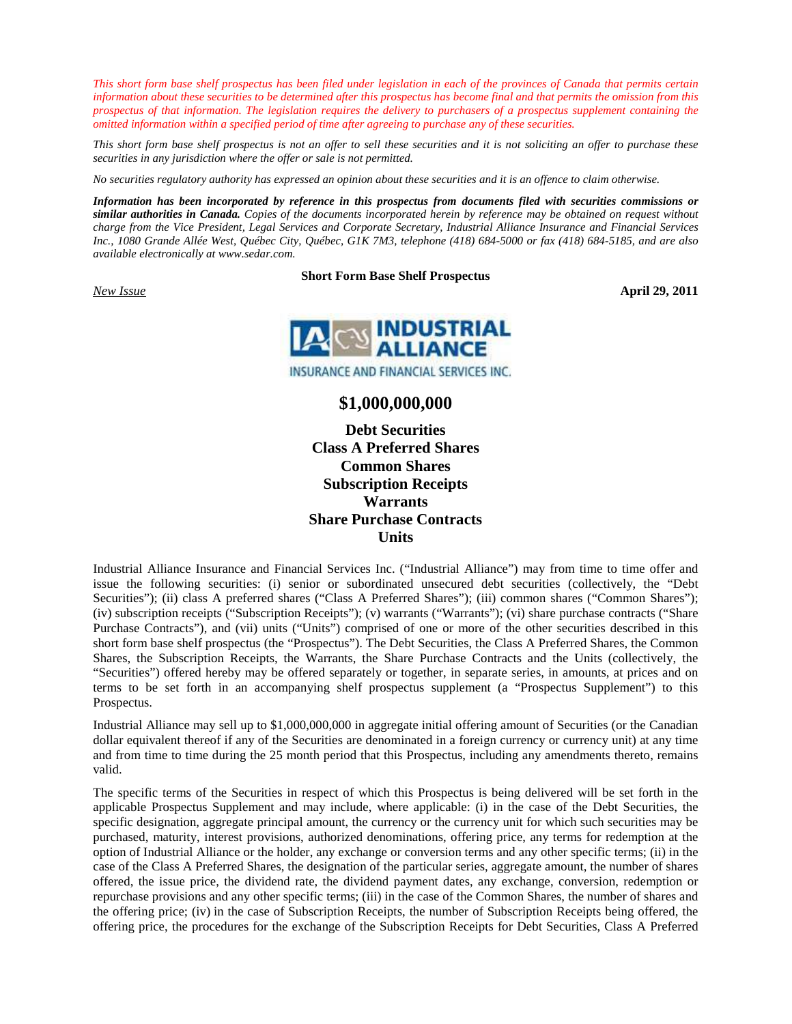*This short form base shelf prospectus has been filed under legislation in each of the provinces of Canada that permits certain information about these securities to be determined after this prospectus has become final and that permits the omission from this prospectus of that information. The legislation requires the delivery to purchasers of a prospectus supplement containing the omitted information within a specified period of time after agreeing to purchase any of these securities.* 

*This short form base shelf prospectus is not an offer to sell these securities and it is not soliciting an offer to purchase these securities in any jurisdiction where the offer or sale is not permitted.* 

*No securities regulatory authority has expressed an opinion about these securities and it is an offence to claim otherwise.* 

*Information has been incorporated by reference in this prospectus from documents filed with securities commissions or similar authorities in Canada. Copies of the documents incorporated herein by reference may be obtained on request without charge from the Vice President, Legal Services and Corporate Secretary, Industrial Alliance Insurance and Financial Services Inc., 1080 Grande Allée West, Québec City, Québec, G1K 7M3, telephone (418) 684-5000 or fax (418) 684-5185, and are also available electronically at www.sedar.com.* 

#### **Short Form Base Shelf Prospectus**

*New Issue* **April 29, 2011** 



# **\$1,000,000,000**

**Debt Securities Class A Preferred Shares Common Shares Subscription Receipts Warrants Share Purchase Contracts Units** 

Industrial Alliance Insurance and Financial Services Inc. ("Industrial Alliance") may from time to time offer and issue the following securities: (i) senior or subordinated unsecured debt securities (collectively, the "Debt Securities"); (ii) class A preferred shares ("Class A Preferred Shares"); (iii) common shares ("Common Shares"); (iv) subscription receipts ("Subscription Receipts"); (v) warrants ("Warrants"); (vi) share purchase contracts ("Share Purchase Contracts"), and (vii) units ("Units") comprised of one or more of the other securities described in this short form base shelf prospectus (the "Prospectus"). The Debt Securities, the Class A Preferred Shares, the Common Shares, the Subscription Receipts, the Warrants, the Share Purchase Contracts and the Units (collectively, the "Securities") offered hereby may be offered separately or together, in separate series, in amounts, at prices and on terms to be set forth in an accompanying shelf prospectus supplement (a "Prospectus Supplement") to this Prospectus.

Industrial Alliance may sell up to \$1,000,000,000 in aggregate initial offering amount of Securities (or the Canadian dollar equivalent thereof if any of the Securities are denominated in a foreign currency or currency unit) at any time and from time to time during the 25 month period that this Prospectus, including any amendments thereto, remains valid.

The specific terms of the Securities in respect of which this Prospectus is being delivered will be set forth in the applicable Prospectus Supplement and may include, where applicable: (i) in the case of the Debt Securities, the specific designation, aggregate principal amount, the currency or the currency unit for which such securities may be purchased, maturity, interest provisions, authorized denominations, offering price, any terms for redemption at the option of Industrial Alliance or the holder, any exchange or conversion terms and any other specific terms; (ii) in the case of the Class A Preferred Shares, the designation of the particular series, aggregate amount, the number of shares offered, the issue price, the dividend rate, the dividend payment dates, any exchange, conversion, redemption or repurchase provisions and any other specific terms; (iii) in the case of the Common Shares, the number of shares and the offering price; (iv) in the case of Subscription Receipts, the number of Subscription Receipts being offered, the offering price, the procedures for the exchange of the Subscription Receipts for Debt Securities, Class A Preferred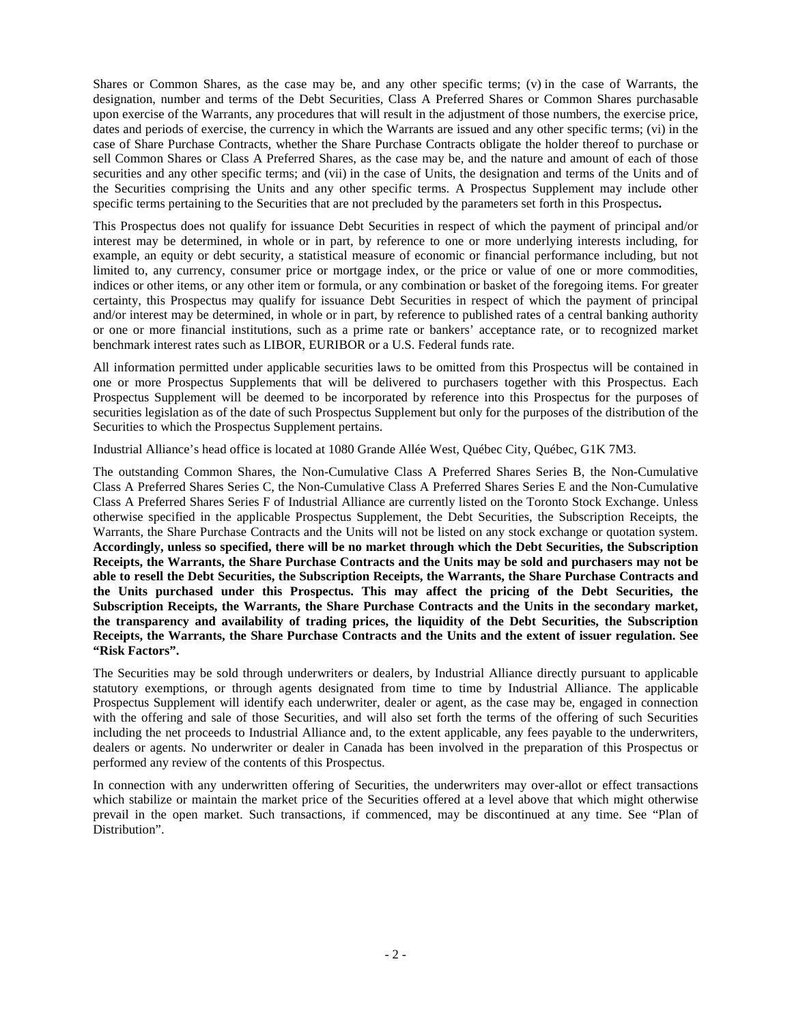Shares or Common Shares, as the case may be, and any other specific terms; (v) in the case of Warrants, the designation, number and terms of the Debt Securities, Class A Preferred Shares or Common Shares purchasable upon exercise of the Warrants, any procedures that will result in the adjustment of those numbers, the exercise price, dates and periods of exercise, the currency in which the Warrants are issued and any other specific terms; (vi) in the case of Share Purchase Contracts, whether the Share Purchase Contracts obligate the holder thereof to purchase or sell Common Shares or Class A Preferred Shares, as the case may be, and the nature and amount of each of those securities and any other specific terms; and (vii) in the case of Units, the designation and terms of the Units and of the Securities comprising the Units and any other specific terms. A Prospectus Supplement may include other specific terms pertaining to the Securities that are not precluded by the parameters set forth in this Prospectus**.** 

This Prospectus does not qualify for issuance Debt Securities in respect of which the payment of principal and/or interest may be determined, in whole or in part, by reference to one or more underlying interests including, for example, an equity or debt security, a statistical measure of economic or financial performance including, but not limited to, any currency, consumer price or mortgage index, or the price or value of one or more commodities, indices or other items, or any other item or formula, or any combination or basket of the foregoing items. For greater certainty, this Prospectus may qualify for issuance Debt Securities in respect of which the payment of principal and/or interest may be determined, in whole or in part, by reference to published rates of a central banking authority or one or more financial institutions, such as a prime rate or bankers' acceptance rate, or to recognized market benchmark interest rates such as LIBOR, EURIBOR or a U.S. Federal funds rate.

All information permitted under applicable securities laws to be omitted from this Prospectus will be contained in one or more Prospectus Supplements that will be delivered to purchasers together with this Prospectus. Each Prospectus Supplement will be deemed to be incorporated by reference into this Prospectus for the purposes of securities legislation as of the date of such Prospectus Supplement but only for the purposes of the distribution of the Securities to which the Prospectus Supplement pertains.

Industrial Alliance's head office is located at 1080 Grande Allée West, Québec City, Québec, G1K 7M3.

The outstanding Common Shares, the Non-Cumulative Class A Preferred Shares Series B, the Non-Cumulative Class A Preferred Shares Series C, the Non-Cumulative Class A Preferred Shares Series E and the Non-Cumulative Class A Preferred Shares Series F of Industrial Alliance are currently listed on the Toronto Stock Exchange. Unless otherwise specified in the applicable Prospectus Supplement, the Debt Securities, the Subscription Receipts, the Warrants, the Share Purchase Contracts and the Units will not be listed on any stock exchange or quotation system. **Accordingly, unless so specified, there will be no market through which the Debt Securities, the Subscription Receipts, the Warrants, the Share Purchase Contracts and the Units may be sold and purchasers may not be able to resell the Debt Securities, the Subscription Receipts, the Warrants, the Share Purchase Contracts and the Units purchased under this Prospectus. This may affect the pricing of the Debt Securities, the Subscription Receipts, the Warrants, the Share Purchase Contracts and the Units in the secondary market, the transparency and availability of trading prices, the liquidity of the Debt Securities, the Subscription Receipts, the Warrants, the Share Purchase Contracts and the Units and the extent of issuer regulation. See "Risk Factors".**

The Securities may be sold through underwriters or dealers, by Industrial Alliance directly pursuant to applicable statutory exemptions, or through agents designated from time to time by Industrial Alliance. The applicable Prospectus Supplement will identify each underwriter, dealer or agent, as the case may be, engaged in connection with the offering and sale of those Securities, and will also set forth the terms of the offering of such Securities including the net proceeds to Industrial Alliance and, to the extent applicable, any fees payable to the underwriters, dealers or agents. No underwriter or dealer in Canada has been involved in the preparation of this Prospectus or performed any review of the contents of this Prospectus.

In connection with any underwritten offering of Securities, the underwriters may over-allot or effect transactions which stabilize or maintain the market price of the Securities offered at a level above that which might otherwise prevail in the open market. Such transactions, if commenced, may be discontinued at any time. See "Plan of Distribution".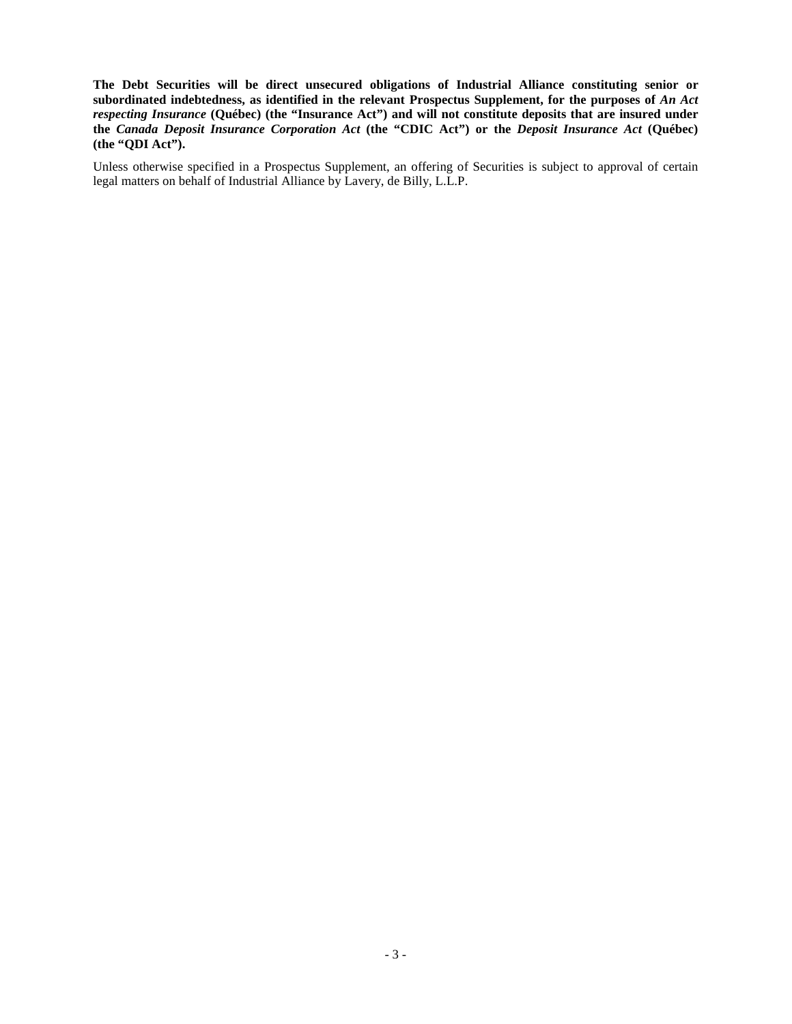**The Debt Securities will be direct unsecured obligations of Industrial Alliance constituting senior or** subordinated indebtedness, as identified in the relevant Prospectus Supplement, for the purposes of *An Act respecting Insurance* **(Québec) (the "Insurance Act") and will not constitute deposits that are insured under the** *Canada Deposit Insurance Corporation Act* **(the "CDIC Act") or the** *Deposit Insurance Act* **(Québec) (the "QDI Act").** 

Unless otherwise specified in a Prospectus Supplement, an offering of Securities is subject to approval of certain legal matters on behalf of Industrial Alliance by Lavery, de Billy, L.L.P.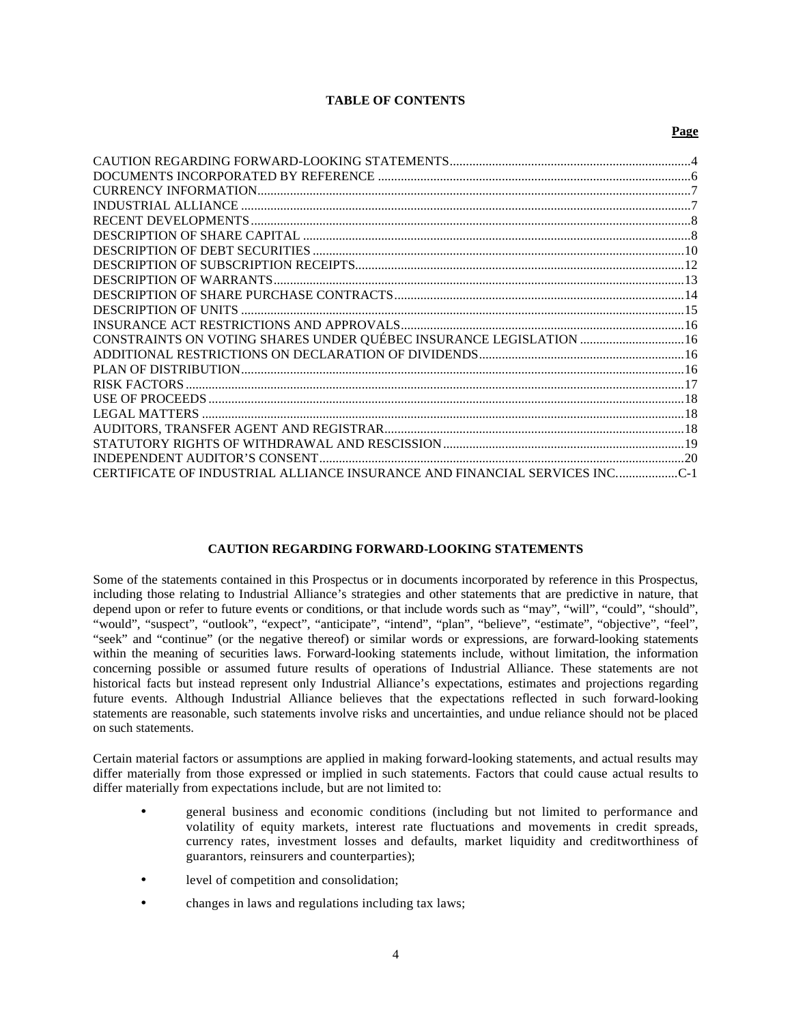### **TABLE OF CONTENTS**

#### **Page**

| CONSTRAINTS ON VOTING SHARES UNDER QUÉBEC INSURANCE LEGISLATION 16      |  |
|-------------------------------------------------------------------------|--|
|                                                                         |  |
|                                                                         |  |
|                                                                         |  |
|                                                                         |  |
|                                                                         |  |
|                                                                         |  |
|                                                                         |  |
|                                                                         |  |
| CERTIFICATE OF INDUSTRIAL ALLIANCE INSURANCE AND FINANCIAL SERVICES INC |  |

#### **CAUTION REGARDING FORWARD-LOOKING STATEMENTS**

Some of the statements contained in this Prospectus or in documents incorporated by reference in this Prospectus, including those relating to Industrial Alliance's strategies and other statements that are predictive in nature, that depend upon or refer to future events or conditions, or that include words such as "may", "will", "could", "should", "would", "suspect", "outlook", "expect", "anticipate", "intend", "plan", "believe", "estimate", "objective", "feel", "seek" and "continue" (or the negative thereof) or similar words or expressions, are forward-looking statements within the meaning of securities laws. Forward-looking statements include, without limitation, the information concerning possible or assumed future results of operations of Industrial Alliance. These statements are not historical facts but instead represent only Industrial Alliance's expectations, estimates and projections regarding future events. Although Industrial Alliance believes that the expectations reflected in such forward-looking statements are reasonable, such statements involve risks and uncertainties, and undue reliance should not be placed on such statements.

Certain material factors or assumptions are applied in making forward-looking statements, and actual results may differ materially from those expressed or implied in such statements. Factors that could cause actual results to differ materially from expectations include, but are not limited to:

- general business and economic conditions (including but not limited to performance and volatility of equity markets, interest rate fluctuations and movements in credit spreads, currency rates, investment losses and defaults, market liquidity and creditworthiness of guarantors, reinsurers and counterparties);
- level of competition and consolidation;
- changes in laws and regulations including tax laws;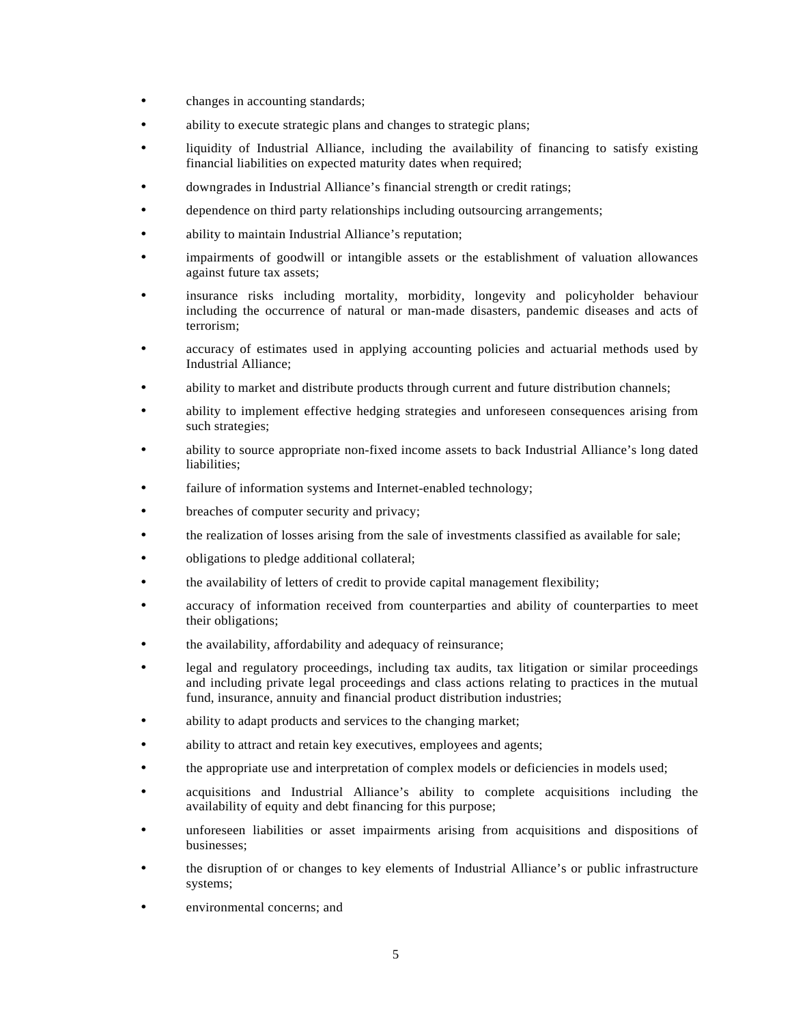- changes in accounting standards;
- ability to execute strategic plans and changes to strategic plans;
- liquidity of Industrial Alliance, including the availability of financing to satisfy existing financial liabilities on expected maturity dates when required;
- downgrades in Industrial Alliance's financial strength or credit ratings;
- dependence on third party relationships including outsourcing arrangements;
- ability to maintain Industrial Alliance's reputation;
- impairments of goodwill or intangible assets or the establishment of valuation allowances against future tax assets;
- insurance risks including mortality, morbidity, longevity and policyholder behaviour including the occurrence of natural or man-made disasters, pandemic diseases and acts of terrorism;
- accuracy of estimates used in applying accounting policies and actuarial methods used by Industrial Alliance;
- ability to market and distribute products through current and future distribution channels;
- ability to implement effective hedging strategies and unforeseen consequences arising from such strategies;
- ability to source appropriate non-fixed income assets to back Industrial Alliance's long dated liabilities;
- failure of information systems and Internet-enabled technology;
- breaches of computer security and privacy;
- the realization of losses arising from the sale of investments classified as available for sale;
- obligations to pledge additional collateral;
- the availability of letters of credit to provide capital management flexibility;
- accuracy of information received from counterparties and ability of counterparties to meet their obligations;
- the availability, affordability and adequacy of reinsurance;
- legal and regulatory proceedings, including tax audits, tax litigation or similar proceedings and including private legal proceedings and class actions relating to practices in the mutual fund, insurance, annuity and financial product distribution industries;
- ability to adapt products and services to the changing market;
- ability to attract and retain key executives, employees and agents;
- the appropriate use and interpretation of complex models or deficiencies in models used;
- acquisitions and Industrial Alliance's ability to complete acquisitions including the availability of equity and debt financing for this purpose;
- unforeseen liabilities or asset impairments arising from acquisitions and dispositions of businesses;
- the disruption of or changes to key elements of Industrial Alliance's or public infrastructure systems;
- environmental concerns; and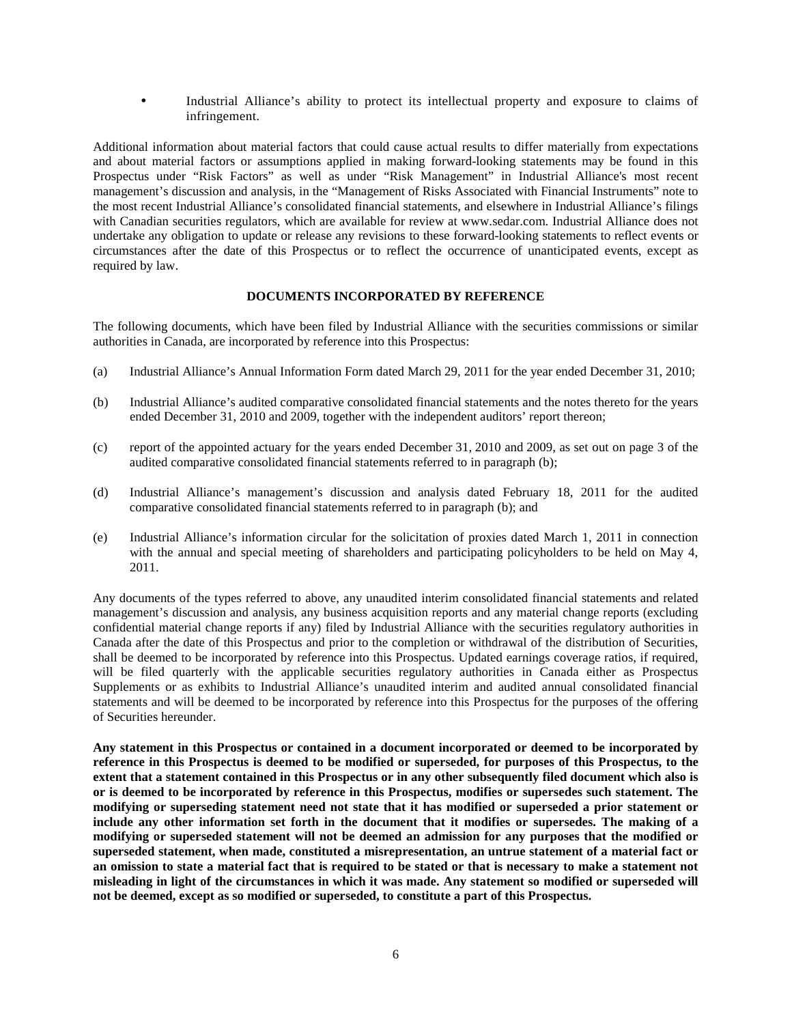• Industrial Alliance's ability to protect its intellectual property and exposure to claims of infringement.

Additional information about material factors that could cause actual results to differ materially from expectations and about material factors or assumptions applied in making forward-looking statements may be found in this Prospectus under "Risk Factors" as well as under "Risk Management" in Industrial Alliance's most recent management's discussion and analysis, in the "Management of Risks Associated with Financial Instruments" note to the most recent Industrial Alliance's consolidated financial statements, and elsewhere in Industrial Alliance's filings with Canadian securities regulators, which are available for review at www.sedar.com. Industrial Alliance does not undertake any obligation to update or release any revisions to these forward-looking statements to reflect events or circumstances after the date of this Prospectus or to reflect the occurrence of unanticipated events, except as required by law.

#### **DOCUMENTS INCORPORATED BY REFERENCE**

The following documents, which have been filed by Industrial Alliance with the securities commissions or similar authorities in Canada, are incorporated by reference into this Prospectus:

- (a) Industrial Alliance's Annual Information Form dated March 29, 2011 for the year ended December 31, 2010;
- (b) Industrial Alliance's audited comparative consolidated financial statements and the notes thereto for the years ended December 31, 2010 and 2009, together with the independent auditors' report thereon;
- (c) report of the appointed actuary for the years ended December 31, 2010 and 2009, as set out on page 3 of the audited comparative consolidated financial statements referred to in paragraph (b);
- (d) Industrial Alliance's management's discussion and analysis dated February 18, 2011 for the audited comparative consolidated financial statements referred to in paragraph (b); and
- (e) Industrial Alliance's information circular for the solicitation of proxies dated March 1, 2011 in connection with the annual and special meeting of shareholders and participating policyholders to be held on May 4, 2011.

Any documents of the types referred to above, any unaudited interim consolidated financial statements and related management's discussion and analysis, any business acquisition reports and any material change reports (excluding confidential material change reports if any) filed by Industrial Alliance with the securities regulatory authorities in Canada after the date of this Prospectus and prior to the completion or withdrawal of the distribution of Securities, shall be deemed to be incorporated by reference into this Prospectus. Updated earnings coverage ratios, if required, will be filed quarterly with the applicable securities regulatory authorities in Canada either as Prospectus Supplements or as exhibits to Industrial Alliance's unaudited interim and audited annual consolidated financial statements and will be deemed to be incorporated by reference into this Prospectus for the purposes of the offering of Securities hereunder.

**Any statement in this Prospectus or contained in a document incorporated or deemed to be incorporated by reference in this Prospectus is deemed to be modified or superseded, for purposes of this Prospectus, to the extent that a statement contained in this Prospectus or in any other subsequently filed document which also is or is deemed to be incorporated by reference in this Prospectus, modifies or supersedes such statement. The modifying or superseding statement need not state that it has modified or superseded a prior statement or include any other information set forth in the document that it modifies or supersedes. The making of a modifying or superseded statement will not be deemed an admission for any purposes that the modified or superseded statement, when made, constituted a misrepresentation, an untrue statement of a material fact or an omission to state a material fact that is required to be stated or that is necessary to make a statement not misleading in light of the circumstances in which it was made. Any statement so modified or superseded will not be deemed, except as so modified or superseded, to constitute a part of this Prospectus.**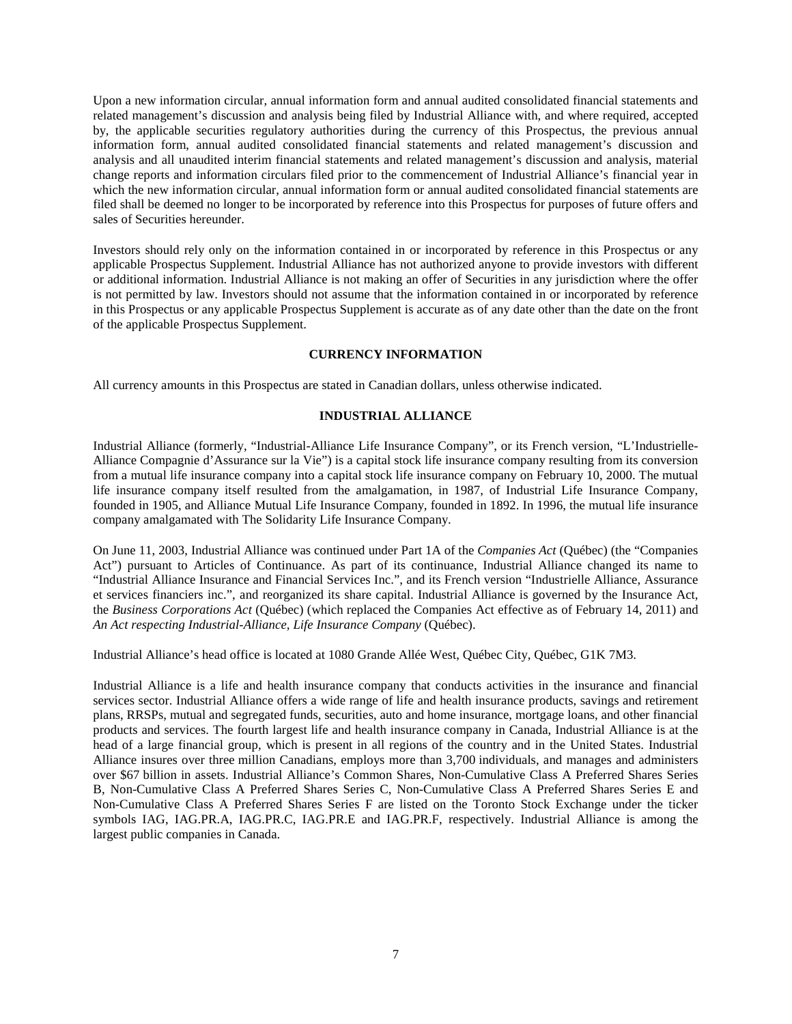Upon a new information circular, annual information form and annual audited consolidated financial statements and related management's discussion and analysis being filed by Industrial Alliance with, and where required, accepted by, the applicable securities regulatory authorities during the currency of this Prospectus, the previous annual information form, annual audited consolidated financial statements and related management's discussion and analysis and all unaudited interim financial statements and related management's discussion and analysis, material change reports and information circulars filed prior to the commencement of Industrial Alliance's financial year in which the new information circular, annual information form or annual audited consolidated financial statements are filed shall be deemed no longer to be incorporated by reference into this Prospectus for purposes of future offers and sales of Securities hereunder.

Investors should rely only on the information contained in or incorporated by reference in this Prospectus or any applicable Prospectus Supplement. Industrial Alliance has not authorized anyone to provide investors with different or additional information. Industrial Alliance is not making an offer of Securities in any jurisdiction where the offer is not permitted by law. Investors should not assume that the information contained in or incorporated by reference in this Prospectus or any applicable Prospectus Supplement is accurate as of any date other than the date on the front of the applicable Prospectus Supplement.

### **CURRENCY INFORMATION**

All currency amounts in this Prospectus are stated in Canadian dollars, unless otherwise indicated.

### **INDUSTRIAL ALLIANCE**

Industrial Alliance (formerly, "Industrial-Alliance Life Insurance Company", or its French version, "L'Industrielle-Alliance Compagnie d'Assurance sur la Vie") is a capital stock life insurance company resulting from its conversion from a mutual life insurance company into a capital stock life insurance company on February 10, 2000. The mutual life insurance company itself resulted from the amalgamation, in 1987, of Industrial Life Insurance Company, founded in 1905, and Alliance Mutual Life Insurance Company, founded in 1892. In 1996, the mutual life insurance company amalgamated with The Solidarity Life Insurance Company.

On June 11, 2003, Industrial Alliance was continued under Part 1A of the *Companies Act* (Québec) (the "Companies Act") pursuant to Articles of Continuance. As part of its continuance, Industrial Alliance changed its name to "Industrial Alliance Insurance and Financial Services Inc.", and its French version "Industrielle Alliance, Assurance et services financiers inc.", and reorganized its share capital. Industrial Alliance is governed by the Insurance Act, the *Business Corporations Act* (Québec) (which replaced the Companies Act effective as of February 14, 2011) and *An Act respecting Industrial-Alliance, Life Insurance Company* (Québec).

Industrial Alliance's head office is located at 1080 Grande Allée West, Québec City, Québec, G1K 7M3.

Industrial Alliance is a life and health insurance company that conducts activities in the insurance and financial services sector. Industrial Alliance offers a wide range of life and health insurance products, savings and retirement plans, RRSPs, mutual and segregated funds, securities, auto and home insurance, mortgage loans, and other financial products and services. The fourth largest life and health insurance company in Canada, Industrial Alliance is at the head of a large financial group, which is present in all regions of the country and in the United States. Industrial Alliance insures over three million Canadians, employs more than 3,700 individuals, and manages and administers over \$67 billion in assets. Industrial Alliance's Common Shares, Non-Cumulative Class A Preferred Shares Series B, Non-Cumulative Class A Preferred Shares Series C, Non-Cumulative Class A Preferred Shares Series E and Non-Cumulative Class A Preferred Shares Series F are listed on the Toronto Stock Exchange under the ticker symbols IAG, IAG.PR.A, IAG.PR.C, IAG.PR.E and IAG.PR.F, respectively. Industrial Alliance is among the largest public companies in Canada.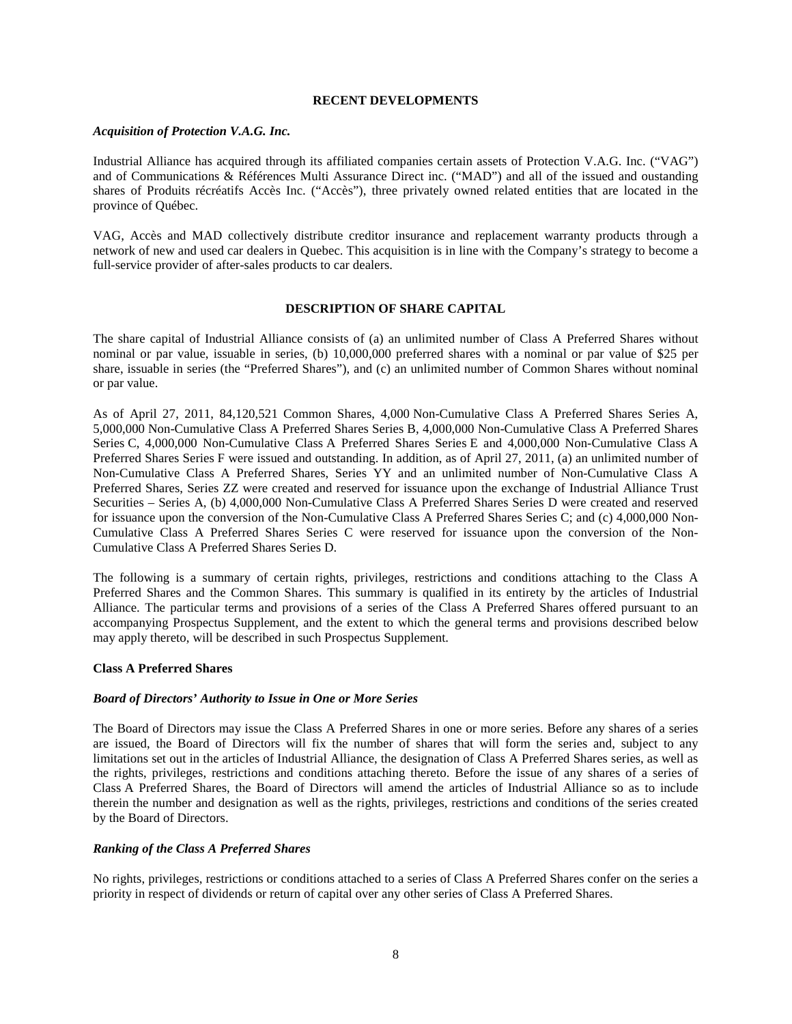### **RECENT DEVELOPMENTS**

#### *Acquisition of Protection V.A.G. Inc.*

Industrial Alliance has acquired through its affiliated companies certain assets of Protection V.A.G. Inc. ("VAG") and of Communications & Références Multi Assurance Direct inc. ("MAD") and all of the issued and oustanding shares of Produits récréatifs Accès Inc. ("Accès"), three privately owned related entities that are located in the province of Québec.

VAG, Accès and MAD collectively distribute creditor insurance and replacement warranty products through a network of new and used car dealers in Quebec. This acquisition is in line with the Company's strategy to become a full-service provider of after-sales products to car dealers.

#### **DESCRIPTION OF SHARE CAPITAL**

The share capital of Industrial Alliance consists of (a) an unlimited number of Class A Preferred Shares without nominal or par value, issuable in series, (b) 10,000,000 preferred shares with a nominal or par value of \$25 per share, issuable in series (the "Preferred Shares"), and (c) an unlimited number of Common Shares without nominal or par value.

As of April 27, 2011, 84,120,521 Common Shares, 4,000 Non-Cumulative Class A Preferred Shares Series A, 5,000,000 Non-Cumulative Class A Preferred Shares Series B, 4,000,000 Non-Cumulative Class A Preferred Shares Series C, 4,000,000 Non-Cumulative Class A Preferred Shares Series E and 4,000,000 Non-Cumulative Class A Preferred Shares Series F were issued and outstanding. In addition, as of April 27, 2011, (a) an unlimited number of Non-Cumulative Class A Preferred Shares, Series YY and an unlimited number of Non-Cumulative Class A Preferred Shares, Series ZZ were created and reserved for issuance upon the exchange of Industrial Alliance Trust Securities – Series A, (b) 4,000,000 Non-Cumulative Class A Preferred Shares Series D were created and reserved for issuance upon the conversion of the Non-Cumulative Class A Preferred Shares Series C; and (c) 4,000,000 Non-Cumulative Class A Preferred Shares Series C were reserved for issuance upon the conversion of the Non-Cumulative Class A Preferred Shares Series D.

The following is a summary of certain rights, privileges, restrictions and conditions attaching to the Class A Preferred Shares and the Common Shares. This summary is qualified in its entirety by the articles of Industrial Alliance. The particular terms and provisions of a series of the Class A Preferred Shares offered pursuant to an accompanying Prospectus Supplement, and the extent to which the general terms and provisions described below may apply thereto, will be described in such Prospectus Supplement.

#### **Class A Preferred Shares**

#### *Board of Directors' Authority to Issue in One or More Series*

The Board of Directors may issue the Class A Preferred Shares in one or more series. Before any shares of a series are issued, the Board of Directors will fix the number of shares that will form the series and, subject to any limitations set out in the articles of Industrial Alliance, the designation of Class A Preferred Shares series, as well as the rights, privileges, restrictions and conditions attaching thereto. Before the issue of any shares of a series of Class A Preferred Shares, the Board of Directors will amend the articles of Industrial Alliance so as to include therein the number and designation as well as the rights, privileges, restrictions and conditions of the series created by the Board of Directors.

#### *Ranking of the Class A Preferred Shares*

No rights, privileges, restrictions or conditions attached to a series of Class A Preferred Shares confer on the series a priority in respect of dividends or return of capital over any other series of Class A Preferred Shares.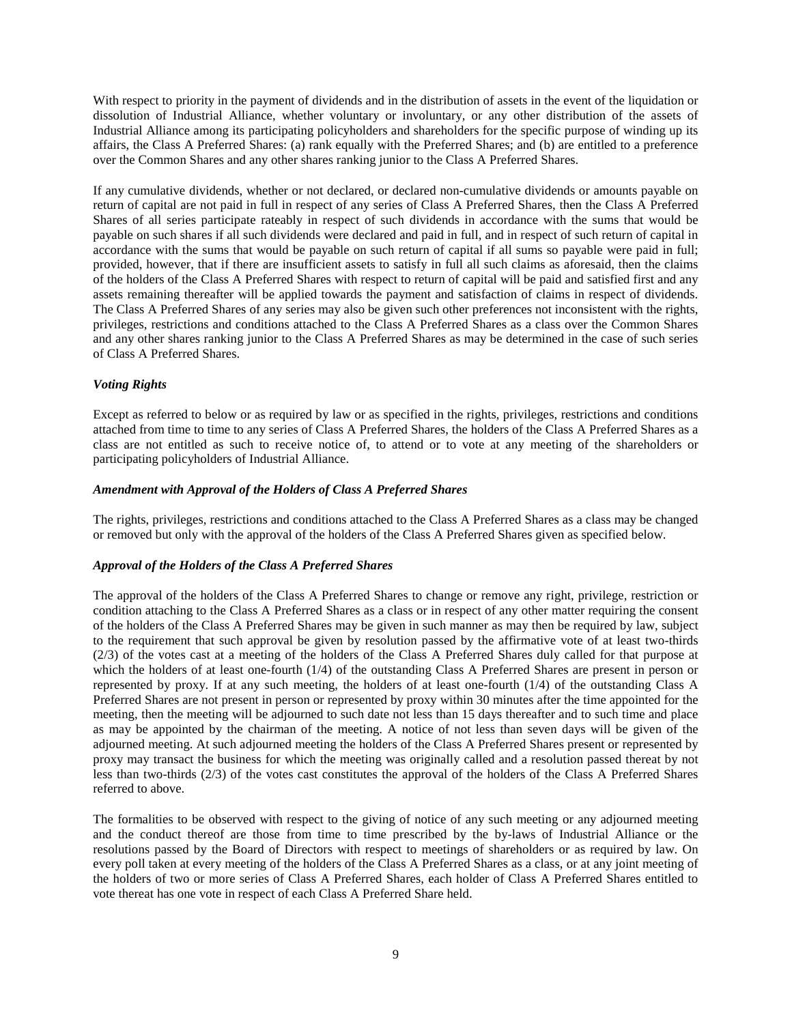With respect to priority in the payment of dividends and in the distribution of assets in the event of the liquidation or dissolution of Industrial Alliance, whether voluntary or involuntary, or any other distribution of the assets of Industrial Alliance among its participating policyholders and shareholders for the specific purpose of winding up its affairs, the Class A Preferred Shares: (a) rank equally with the Preferred Shares; and (b) are entitled to a preference over the Common Shares and any other shares ranking junior to the Class A Preferred Shares.

If any cumulative dividends, whether or not declared, or declared non-cumulative dividends or amounts payable on return of capital are not paid in full in respect of any series of Class A Preferred Shares, then the Class A Preferred Shares of all series participate rateably in respect of such dividends in accordance with the sums that would be payable on such shares if all such dividends were declared and paid in full, and in respect of such return of capital in accordance with the sums that would be payable on such return of capital if all sums so payable were paid in full; provided, however, that if there are insufficient assets to satisfy in full all such claims as aforesaid, then the claims of the holders of the Class A Preferred Shares with respect to return of capital will be paid and satisfied first and any assets remaining thereafter will be applied towards the payment and satisfaction of claims in respect of dividends. The Class A Preferred Shares of any series may also be given such other preferences not inconsistent with the rights, privileges, restrictions and conditions attached to the Class A Preferred Shares as a class over the Common Shares and any other shares ranking junior to the Class A Preferred Shares as may be determined in the case of such series of Class A Preferred Shares.

# *Voting Rights*

Except as referred to below or as required by law or as specified in the rights, privileges, restrictions and conditions attached from time to time to any series of Class A Preferred Shares, the holders of the Class A Preferred Shares as a class are not entitled as such to receive notice of, to attend or to vote at any meeting of the shareholders or participating policyholders of Industrial Alliance.

### *Amendment with Approval of the Holders of Class A Preferred Shares*

The rights, privileges, restrictions and conditions attached to the Class A Preferred Shares as a class may be changed or removed but only with the approval of the holders of the Class A Preferred Shares given as specified below.

# *Approval of the Holders of the Class A Preferred Shares*

The approval of the holders of the Class A Preferred Shares to change or remove any right, privilege, restriction or condition attaching to the Class A Preferred Shares as a class or in respect of any other matter requiring the consent of the holders of the Class A Preferred Shares may be given in such manner as may then be required by law, subject to the requirement that such approval be given by resolution passed by the affirmative vote of at least two-thirds (2/3) of the votes cast at a meeting of the holders of the Class A Preferred Shares duly called for that purpose at which the holders of at least one-fourth (1/4) of the outstanding Class A Preferred Shares are present in person or represented by proxy. If at any such meeting, the holders of at least one-fourth (1/4) of the outstanding Class A Preferred Shares are not present in person or represented by proxy within 30 minutes after the time appointed for the meeting, then the meeting will be adjourned to such date not less than 15 days thereafter and to such time and place as may be appointed by the chairman of the meeting. A notice of not less than seven days will be given of the adjourned meeting. At such adjourned meeting the holders of the Class A Preferred Shares present or represented by proxy may transact the business for which the meeting was originally called and a resolution passed thereat by not less than two-thirds (2/3) of the votes cast constitutes the approval of the holders of the Class A Preferred Shares referred to above.

The formalities to be observed with respect to the giving of notice of any such meeting or any adjourned meeting and the conduct thereof are those from time to time prescribed by the by-laws of Industrial Alliance or the resolutions passed by the Board of Directors with respect to meetings of shareholders or as required by law. On every poll taken at every meeting of the holders of the Class A Preferred Shares as a class, or at any joint meeting of the holders of two or more series of Class A Preferred Shares, each holder of Class A Preferred Shares entitled to vote thereat has one vote in respect of each Class A Preferred Share held.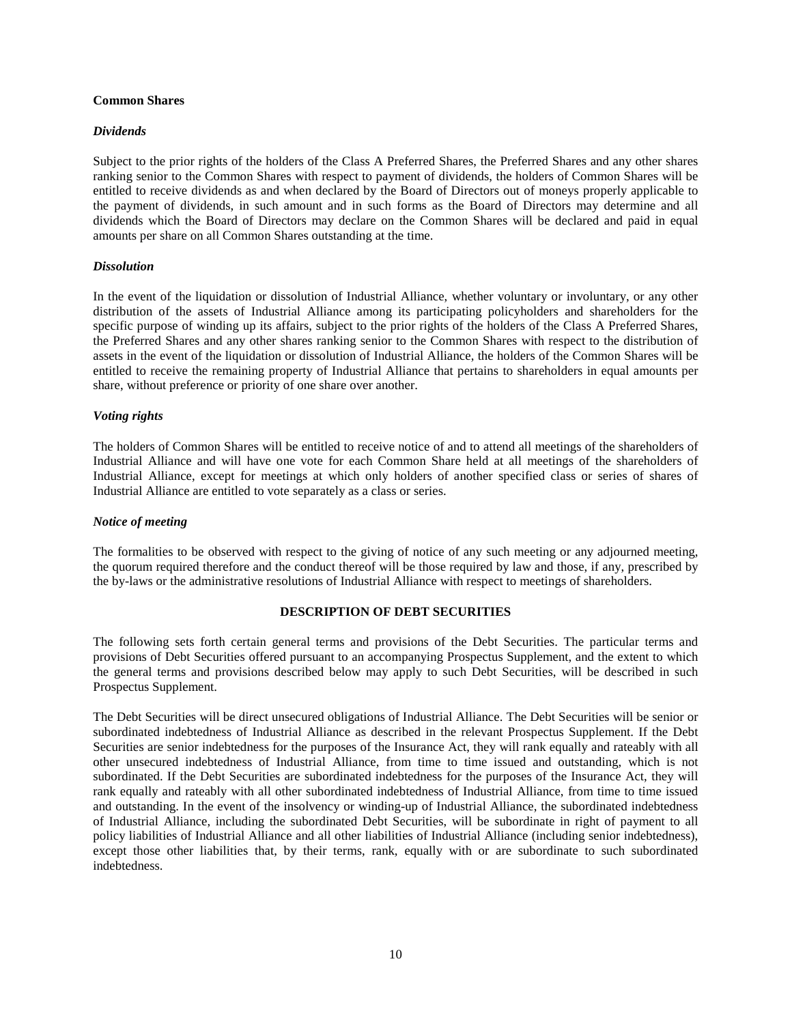#### **Common Shares**

### *Dividends*

Subject to the prior rights of the holders of the Class A Preferred Shares, the Preferred Shares and any other shares ranking senior to the Common Shares with respect to payment of dividends, the holders of Common Shares will be entitled to receive dividends as and when declared by the Board of Directors out of moneys properly applicable to the payment of dividends, in such amount and in such forms as the Board of Directors may determine and all dividends which the Board of Directors may declare on the Common Shares will be declared and paid in equal amounts per share on all Common Shares outstanding at the time.

### *Dissolution*

In the event of the liquidation or dissolution of Industrial Alliance, whether voluntary or involuntary, or any other distribution of the assets of Industrial Alliance among its participating policyholders and shareholders for the specific purpose of winding up its affairs, subject to the prior rights of the holders of the Class A Preferred Shares, the Preferred Shares and any other shares ranking senior to the Common Shares with respect to the distribution of assets in the event of the liquidation or dissolution of Industrial Alliance, the holders of the Common Shares will be entitled to receive the remaining property of Industrial Alliance that pertains to shareholders in equal amounts per share, without preference or priority of one share over another.

### *Voting rights*

The holders of Common Shares will be entitled to receive notice of and to attend all meetings of the shareholders of Industrial Alliance and will have one vote for each Common Share held at all meetings of the shareholders of Industrial Alliance, except for meetings at which only holders of another specified class or series of shares of Industrial Alliance are entitled to vote separately as a class or series.

#### *Notice of meeting*

The formalities to be observed with respect to the giving of notice of any such meeting or any adjourned meeting, the quorum required therefore and the conduct thereof will be those required by law and those, if any, prescribed by the by-laws or the administrative resolutions of Industrial Alliance with respect to meetings of shareholders.

# **DESCRIPTION OF DEBT SECURITIES**

The following sets forth certain general terms and provisions of the Debt Securities. The particular terms and provisions of Debt Securities offered pursuant to an accompanying Prospectus Supplement, and the extent to which the general terms and provisions described below may apply to such Debt Securities, will be described in such Prospectus Supplement.

The Debt Securities will be direct unsecured obligations of Industrial Alliance. The Debt Securities will be senior or subordinated indebtedness of Industrial Alliance as described in the relevant Prospectus Supplement. If the Debt Securities are senior indebtedness for the purposes of the Insurance Act, they will rank equally and rateably with all other unsecured indebtedness of Industrial Alliance, from time to time issued and outstanding, which is not subordinated. If the Debt Securities are subordinated indebtedness for the purposes of the Insurance Act, they will rank equally and rateably with all other subordinated indebtedness of Industrial Alliance, from time to time issued and outstanding. In the event of the insolvency or winding-up of Industrial Alliance, the subordinated indebtedness of Industrial Alliance, including the subordinated Debt Securities, will be subordinate in right of payment to all policy liabilities of Industrial Alliance and all other liabilities of Industrial Alliance (including senior indebtedness), except those other liabilities that, by their terms, rank, equally with or are subordinate to such subordinated indebtedness.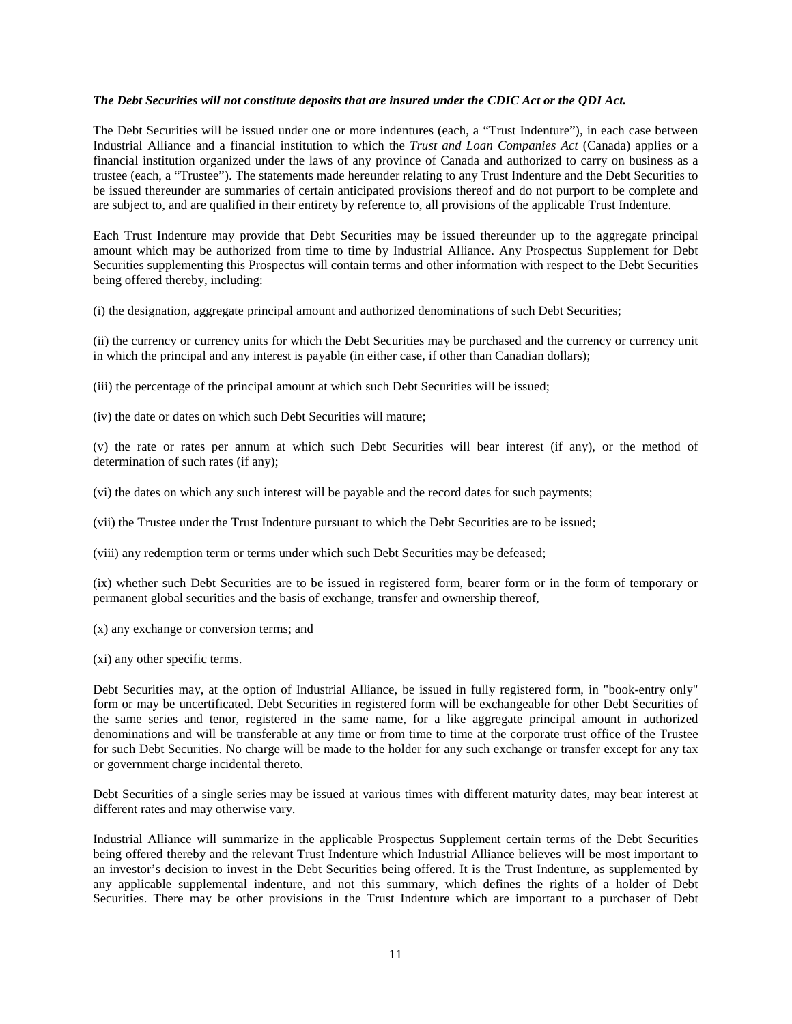#### *The Debt Securities will not constitute deposits that are insured under the CDIC Act or the QDI Act.*

The Debt Securities will be issued under one or more indentures (each, a "Trust Indenture"), in each case between Industrial Alliance and a financial institution to which the *Trust and Loan Companies Act* (Canada) applies or a financial institution organized under the laws of any province of Canada and authorized to carry on business as a trustee (each, a "Trustee"). The statements made hereunder relating to any Trust Indenture and the Debt Securities to be issued thereunder are summaries of certain anticipated provisions thereof and do not purport to be complete and are subject to, and are qualified in their entirety by reference to, all provisions of the applicable Trust Indenture.

Each Trust Indenture may provide that Debt Securities may be issued thereunder up to the aggregate principal amount which may be authorized from time to time by Industrial Alliance. Any Prospectus Supplement for Debt Securities supplementing this Prospectus will contain terms and other information with respect to the Debt Securities being offered thereby, including:

(i) the designation, aggregate principal amount and authorized denominations of such Debt Securities;

(ii) the currency or currency units for which the Debt Securities may be purchased and the currency or currency unit in which the principal and any interest is payable (in either case, if other than Canadian dollars);

(iii) the percentage of the principal amount at which such Debt Securities will be issued;

(iv) the date or dates on which such Debt Securities will mature;

(v) the rate or rates per annum at which such Debt Securities will bear interest (if any), or the method of determination of such rates (if any);

(vi) the dates on which any such interest will be payable and the record dates for such payments;

(vii) the Trustee under the Trust Indenture pursuant to which the Debt Securities are to be issued;

(viii) any redemption term or terms under which such Debt Securities may be defeased;

(ix) whether such Debt Securities are to be issued in registered form, bearer form or in the form of temporary or permanent global securities and the basis of exchange, transfer and ownership thereof,

- (x) any exchange or conversion terms; and
- (xi) any other specific terms.

Debt Securities may, at the option of Industrial Alliance, be issued in fully registered form, in "book-entry only" form or may be uncertificated. Debt Securities in registered form will be exchangeable for other Debt Securities of the same series and tenor, registered in the same name, for a like aggregate principal amount in authorized denominations and will be transferable at any time or from time to time at the corporate trust office of the Trustee for such Debt Securities. No charge will be made to the holder for any such exchange or transfer except for any tax or government charge incidental thereto.

Debt Securities of a single series may be issued at various times with different maturity dates, may bear interest at different rates and may otherwise vary.

Industrial Alliance will summarize in the applicable Prospectus Supplement certain terms of the Debt Securities being offered thereby and the relevant Trust Indenture which Industrial Alliance believes will be most important to an investor's decision to invest in the Debt Securities being offered. It is the Trust Indenture, as supplemented by any applicable supplemental indenture, and not this summary, which defines the rights of a holder of Debt Securities. There may be other provisions in the Trust Indenture which are important to a purchaser of Debt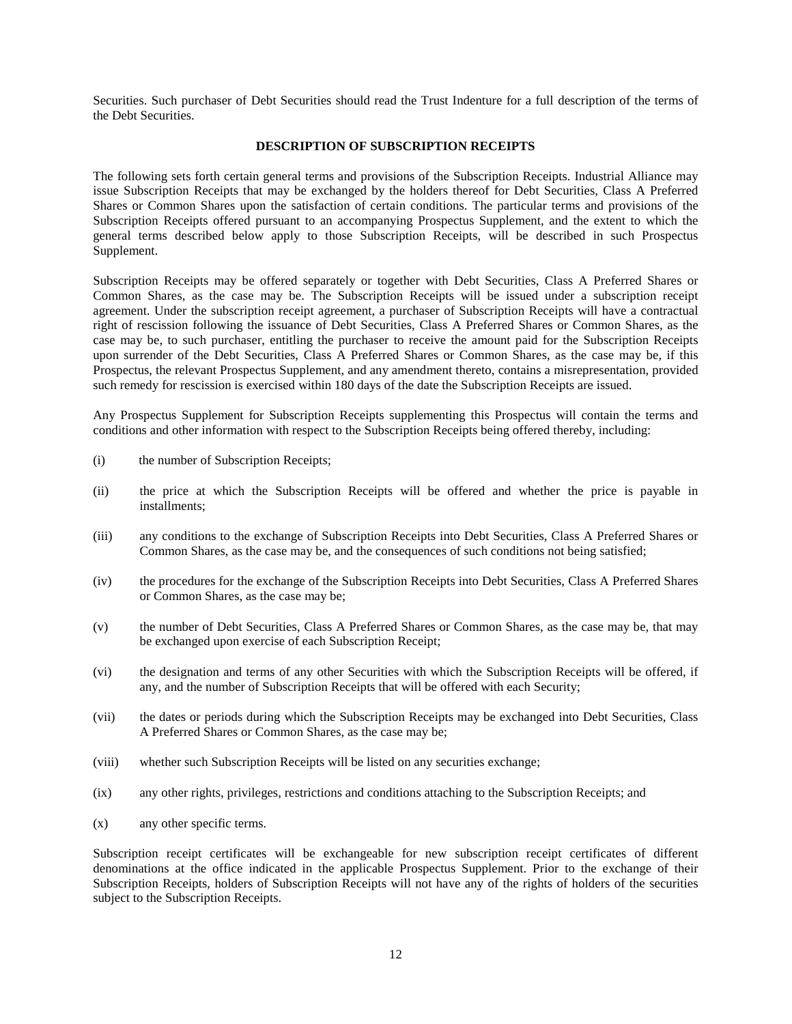Securities. Such purchaser of Debt Securities should read the Trust Indenture for a full description of the terms of the Debt Securities.

#### **DESCRIPTION OF SUBSCRIPTION RECEIPTS**

The following sets forth certain general terms and provisions of the Subscription Receipts. Industrial Alliance may issue Subscription Receipts that may be exchanged by the holders thereof for Debt Securities, Class A Preferred Shares or Common Shares upon the satisfaction of certain conditions. The particular terms and provisions of the Subscription Receipts offered pursuant to an accompanying Prospectus Supplement, and the extent to which the general terms described below apply to those Subscription Receipts, will be described in such Prospectus Supplement.

Subscription Receipts may be offered separately or together with Debt Securities, Class A Preferred Shares or Common Shares, as the case may be. The Subscription Receipts will be issued under a subscription receipt agreement. Under the subscription receipt agreement, a purchaser of Subscription Receipts will have a contractual right of rescission following the issuance of Debt Securities, Class A Preferred Shares or Common Shares, as the case may be, to such purchaser, entitling the purchaser to receive the amount paid for the Subscription Receipts upon surrender of the Debt Securities, Class A Preferred Shares or Common Shares, as the case may be, if this Prospectus, the relevant Prospectus Supplement, and any amendment thereto, contains a misrepresentation, provided such remedy for rescission is exercised within 180 days of the date the Subscription Receipts are issued.

Any Prospectus Supplement for Subscription Receipts supplementing this Prospectus will contain the terms and conditions and other information with respect to the Subscription Receipts being offered thereby, including:

- (i) the number of Subscription Receipts;
- (ii) the price at which the Subscription Receipts will be offered and whether the price is payable in installments;
- (iii) any conditions to the exchange of Subscription Receipts into Debt Securities, Class A Preferred Shares or Common Shares, as the case may be, and the consequences of such conditions not being satisfied;
- (iv) the procedures for the exchange of the Subscription Receipts into Debt Securities, Class A Preferred Shares or Common Shares, as the case may be;
- (v) the number of Debt Securities, Class A Preferred Shares or Common Shares, as the case may be, that may be exchanged upon exercise of each Subscription Receipt;
- (vi) the designation and terms of any other Securities with which the Subscription Receipts will be offered, if any, and the number of Subscription Receipts that will be offered with each Security;
- (vii) the dates or periods during which the Subscription Receipts may be exchanged into Debt Securities, Class A Preferred Shares or Common Shares, as the case may be;
- (viii) whether such Subscription Receipts will be listed on any securities exchange;
- (ix) any other rights, privileges, restrictions and conditions attaching to the Subscription Receipts; and
- (x) any other specific terms.

Subscription receipt certificates will be exchangeable for new subscription receipt certificates of different denominations at the office indicated in the applicable Prospectus Supplement. Prior to the exchange of their Subscription Receipts, holders of Subscription Receipts will not have any of the rights of holders of the securities subject to the Subscription Receipts.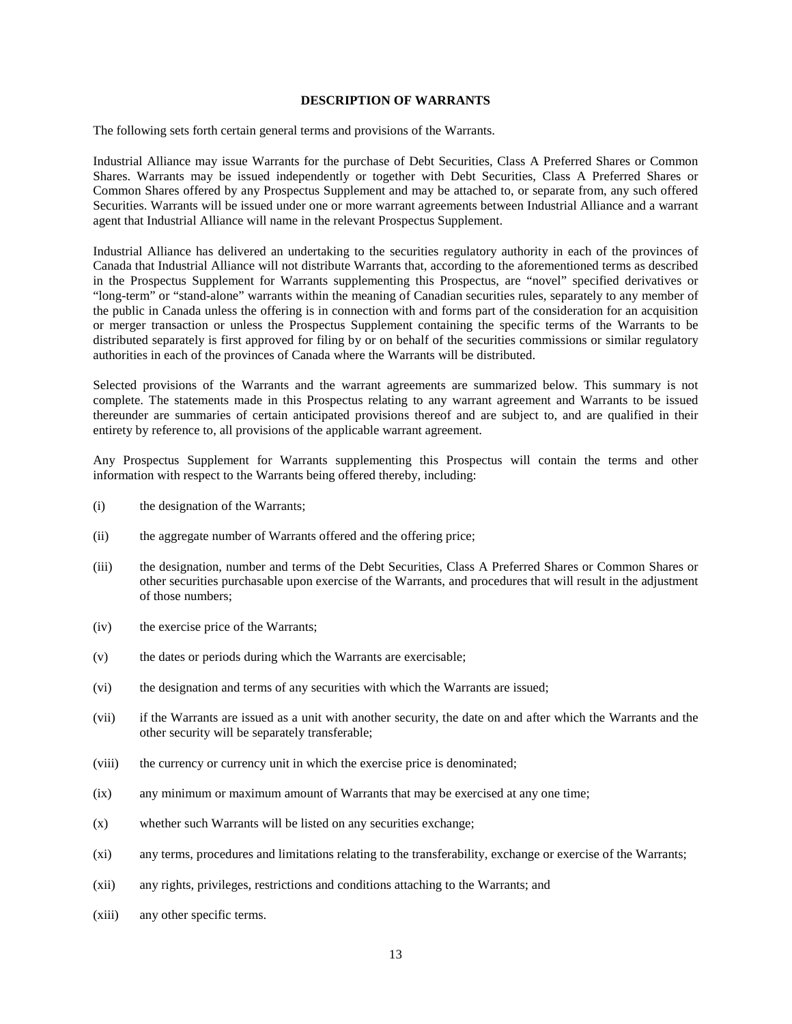#### **DESCRIPTION OF WARRANTS**

The following sets forth certain general terms and provisions of the Warrants.

Industrial Alliance may issue Warrants for the purchase of Debt Securities, Class A Preferred Shares or Common Shares. Warrants may be issued independently or together with Debt Securities, Class A Preferred Shares or Common Shares offered by any Prospectus Supplement and may be attached to, or separate from, any such offered Securities. Warrants will be issued under one or more warrant agreements between Industrial Alliance and a warrant agent that Industrial Alliance will name in the relevant Prospectus Supplement.

Industrial Alliance has delivered an undertaking to the securities regulatory authority in each of the provinces of Canada that Industrial Alliance will not distribute Warrants that, according to the aforementioned terms as described in the Prospectus Supplement for Warrants supplementing this Prospectus, are "novel" specified derivatives or "long-term" or "stand-alone" warrants within the meaning of Canadian securities rules, separately to any member of the public in Canada unless the offering is in connection with and forms part of the consideration for an acquisition or merger transaction or unless the Prospectus Supplement containing the specific terms of the Warrants to be distributed separately is first approved for filing by or on behalf of the securities commissions or similar regulatory authorities in each of the provinces of Canada where the Warrants will be distributed.

Selected provisions of the Warrants and the warrant agreements are summarized below. This summary is not complete. The statements made in this Prospectus relating to any warrant agreement and Warrants to be issued thereunder are summaries of certain anticipated provisions thereof and are subject to, and are qualified in their entirety by reference to, all provisions of the applicable warrant agreement.

Any Prospectus Supplement for Warrants supplementing this Prospectus will contain the terms and other information with respect to the Warrants being offered thereby, including:

- (i) the designation of the Warrants;
- (ii) the aggregate number of Warrants offered and the offering price;
- (iii) the designation, number and terms of the Debt Securities, Class A Preferred Shares or Common Shares or other securities purchasable upon exercise of the Warrants, and procedures that will result in the adjustment of those numbers;
- (iv) the exercise price of the Warrants;
- (v) the dates or periods during which the Warrants are exercisable;
- (vi) the designation and terms of any securities with which the Warrants are issued;
- (vii) if the Warrants are issued as a unit with another security, the date on and after which the Warrants and the other security will be separately transferable;
- (viii) the currency or currency unit in which the exercise price is denominated;
- (ix) any minimum or maximum amount of Warrants that may be exercised at any one time;
- (x) whether such Warrants will be listed on any securities exchange;
- (xi) any terms, procedures and limitations relating to the transferability, exchange or exercise of the Warrants;
- (xii) any rights, privileges, restrictions and conditions attaching to the Warrants; and
- (xiii) any other specific terms.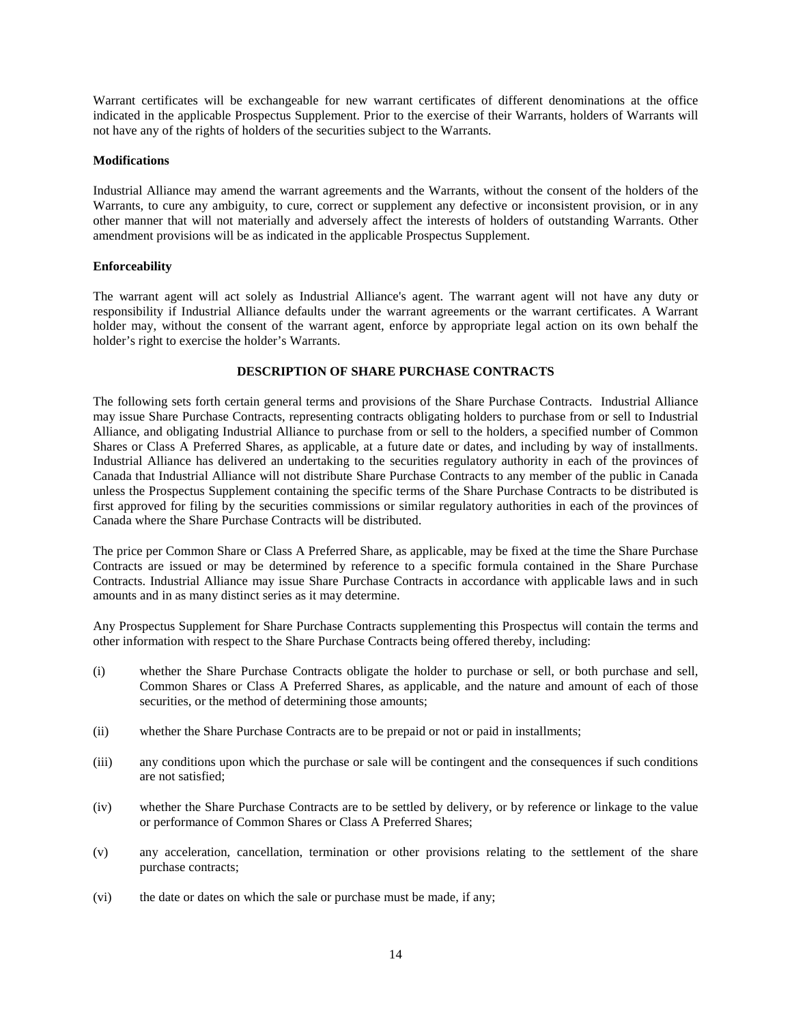Warrant certificates will be exchangeable for new warrant certificates of different denominations at the office indicated in the applicable Prospectus Supplement. Prior to the exercise of their Warrants, holders of Warrants will not have any of the rights of holders of the securities subject to the Warrants.

### **Modifications**

Industrial Alliance may amend the warrant agreements and the Warrants, without the consent of the holders of the Warrants, to cure any ambiguity, to cure, correct or supplement any defective or inconsistent provision, or in any other manner that will not materially and adversely affect the interests of holders of outstanding Warrants. Other amendment provisions will be as indicated in the applicable Prospectus Supplement.

### **Enforceability**

The warrant agent will act solely as Industrial Alliance's agent. The warrant agent will not have any duty or responsibility if Industrial Alliance defaults under the warrant agreements or the warrant certificates. A Warrant holder may, without the consent of the warrant agent, enforce by appropriate legal action on its own behalf the holder's right to exercise the holder's Warrants.

### **DESCRIPTION OF SHARE PURCHASE CONTRACTS**

The following sets forth certain general terms and provisions of the Share Purchase Contracts. Industrial Alliance may issue Share Purchase Contracts, representing contracts obligating holders to purchase from or sell to Industrial Alliance, and obligating Industrial Alliance to purchase from or sell to the holders, a specified number of Common Shares or Class A Preferred Shares, as applicable, at a future date or dates, and including by way of installments. Industrial Alliance has delivered an undertaking to the securities regulatory authority in each of the provinces of Canada that Industrial Alliance will not distribute Share Purchase Contracts to any member of the public in Canada unless the Prospectus Supplement containing the specific terms of the Share Purchase Contracts to be distributed is first approved for filing by the securities commissions or similar regulatory authorities in each of the provinces of Canada where the Share Purchase Contracts will be distributed.

The price per Common Share or Class A Preferred Share, as applicable, may be fixed at the time the Share Purchase Contracts are issued or may be determined by reference to a specific formula contained in the Share Purchase Contracts. Industrial Alliance may issue Share Purchase Contracts in accordance with applicable laws and in such amounts and in as many distinct series as it may determine.

Any Prospectus Supplement for Share Purchase Contracts supplementing this Prospectus will contain the terms and other information with respect to the Share Purchase Contracts being offered thereby, including:

- (i) whether the Share Purchase Contracts obligate the holder to purchase or sell, or both purchase and sell, Common Shares or Class A Preferred Shares, as applicable, and the nature and amount of each of those securities, or the method of determining those amounts;
- (ii) whether the Share Purchase Contracts are to be prepaid or not or paid in installments;
- (iii) any conditions upon which the purchase or sale will be contingent and the consequences if such conditions are not satisfied;
- (iv) whether the Share Purchase Contracts are to be settled by delivery, or by reference or linkage to the value or performance of Common Shares or Class A Preferred Shares;
- (v) any acceleration, cancellation, termination or other provisions relating to the settlement of the share purchase contracts;
- (vi) the date or dates on which the sale or purchase must be made, if any;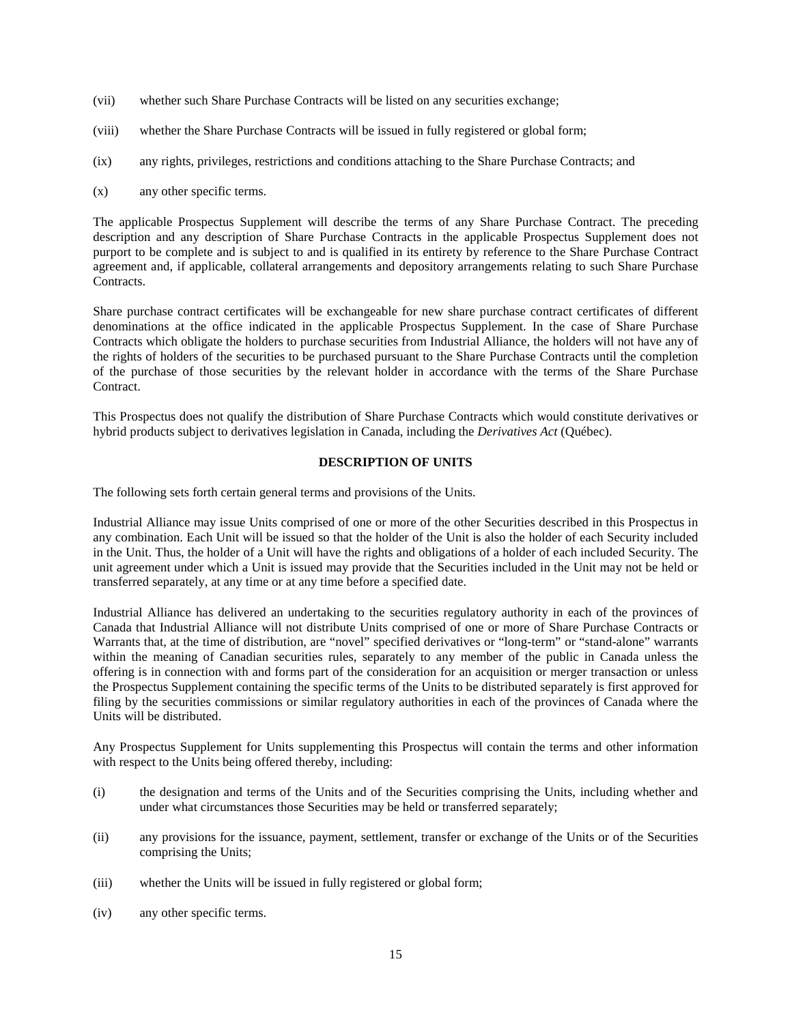- (vii) whether such Share Purchase Contracts will be listed on any securities exchange;
- (viii) whether the Share Purchase Contracts will be issued in fully registered or global form;
- (ix) any rights, privileges, restrictions and conditions attaching to the Share Purchase Contracts; and
- (x) any other specific terms.

The applicable Prospectus Supplement will describe the terms of any Share Purchase Contract. The preceding description and any description of Share Purchase Contracts in the applicable Prospectus Supplement does not purport to be complete and is subject to and is qualified in its entirety by reference to the Share Purchase Contract agreement and, if applicable, collateral arrangements and depository arrangements relating to such Share Purchase Contracts.

Share purchase contract certificates will be exchangeable for new share purchase contract certificates of different denominations at the office indicated in the applicable Prospectus Supplement. In the case of Share Purchase Contracts which obligate the holders to purchase securities from Industrial Alliance, the holders will not have any of the rights of holders of the securities to be purchased pursuant to the Share Purchase Contracts until the completion of the purchase of those securities by the relevant holder in accordance with the terms of the Share Purchase Contract.

This Prospectus does not qualify the distribution of Share Purchase Contracts which would constitute derivatives or hybrid products subject to derivatives legislation in Canada, including the *Derivatives Act* (Québec).

# **DESCRIPTION OF UNITS**

The following sets forth certain general terms and provisions of the Units.

Industrial Alliance may issue Units comprised of one or more of the other Securities described in this Prospectus in any combination. Each Unit will be issued so that the holder of the Unit is also the holder of each Security included in the Unit. Thus, the holder of a Unit will have the rights and obligations of a holder of each included Security. The unit agreement under which a Unit is issued may provide that the Securities included in the Unit may not be held or transferred separately, at any time or at any time before a specified date.

Industrial Alliance has delivered an undertaking to the securities regulatory authority in each of the provinces of Canada that Industrial Alliance will not distribute Units comprised of one or more of Share Purchase Contracts or Warrants that, at the time of distribution, are "novel" specified derivatives or "long-term" or "stand-alone" warrants within the meaning of Canadian securities rules, separately to any member of the public in Canada unless the offering is in connection with and forms part of the consideration for an acquisition or merger transaction or unless the Prospectus Supplement containing the specific terms of the Units to be distributed separately is first approved for filing by the securities commissions or similar regulatory authorities in each of the provinces of Canada where the Units will be distributed.

Any Prospectus Supplement for Units supplementing this Prospectus will contain the terms and other information with respect to the Units being offered thereby, including:

- (i) the designation and terms of the Units and of the Securities comprising the Units, including whether and under what circumstances those Securities may be held or transferred separately;
- (ii) any provisions for the issuance, payment, settlement, transfer or exchange of the Units or of the Securities comprising the Units;
- (iii) whether the Units will be issued in fully registered or global form;
- (iv) any other specific terms.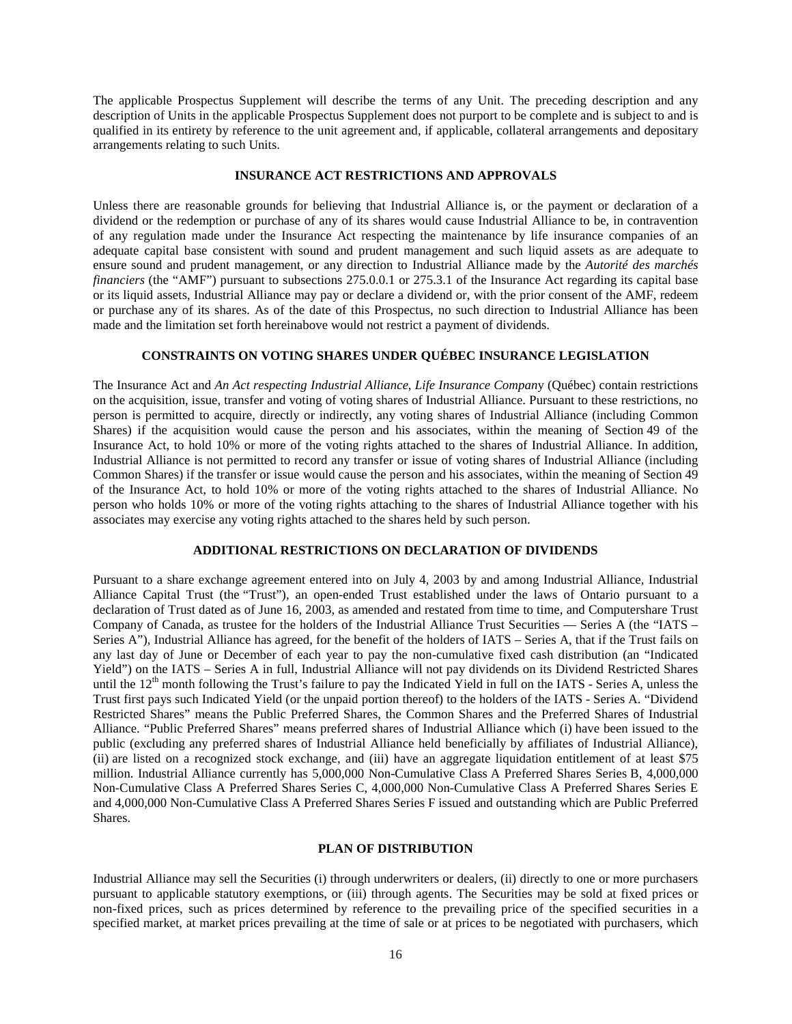The applicable Prospectus Supplement will describe the terms of any Unit. The preceding description and any description of Units in the applicable Prospectus Supplement does not purport to be complete and is subject to and is qualified in its entirety by reference to the unit agreement and, if applicable, collateral arrangements and depositary arrangements relating to such Units.

### **INSURANCE ACT RESTRICTIONS AND APPROVALS**

Unless there are reasonable grounds for believing that Industrial Alliance is, or the payment or declaration of a dividend or the redemption or purchase of any of its shares would cause Industrial Alliance to be, in contravention of any regulation made under the Insurance Act respecting the maintenance by life insurance companies of an adequate capital base consistent with sound and prudent management and such liquid assets as are adequate to ensure sound and prudent management, or any direction to Industrial Alliance made by the *Autorité des marchés financiers* (the "AMF") pursuant to subsections 275.0.0.1 or 275.3.1 of the Insurance Act regarding its capital base or its liquid assets, Industrial Alliance may pay or declare a dividend or, with the prior consent of the AMF, redeem or purchase any of its shares. As of the date of this Prospectus, no such direction to Industrial Alliance has been made and the limitation set forth hereinabove would not restrict a payment of dividends.

# **CONSTRAINTS ON VOTING SHARES UNDER QUÉBEC INSURANCE LEGISLATION**

The Insurance Act and *An Act respecting Industrial Alliance, Life Insurance Compan*y (Québec) contain restrictions on the acquisition, issue, transfer and voting of voting shares of Industrial Alliance. Pursuant to these restrictions, no person is permitted to acquire, directly or indirectly, any voting shares of Industrial Alliance (including Common Shares) if the acquisition would cause the person and his associates, within the meaning of Section 49 of the Insurance Act, to hold 10% or more of the voting rights attached to the shares of Industrial Alliance. In addition, Industrial Alliance is not permitted to record any transfer or issue of voting shares of Industrial Alliance (including Common Shares) if the transfer or issue would cause the person and his associates, within the meaning of Section 49 of the Insurance Act, to hold 10% or more of the voting rights attached to the shares of Industrial Alliance. No person who holds 10% or more of the voting rights attaching to the shares of Industrial Alliance together with his associates may exercise any voting rights attached to the shares held by such person.

#### **ADDITIONAL RESTRICTIONS ON DECLARATION OF DIVIDENDS**

Pursuant to a share exchange agreement entered into on July 4, 2003 by and among Industrial Alliance, Industrial Alliance Capital Trust (the "Trust"), an open-ended Trust established under the laws of Ontario pursuant to a declaration of Trust dated as of June 16, 2003, as amended and restated from time to time, and Computershare Trust Company of Canada, as trustee for the holders of the Industrial Alliance Trust Securities — Series A (the "IATS – Series A"), Industrial Alliance has agreed, for the benefit of the holders of IATS – Series A, that if the Trust fails on any last day of June or December of each year to pay the non-cumulative fixed cash distribution (an "Indicated Yield") on the IATS – Series A in full, Industrial Alliance will not pay dividends on its Dividend Restricted Shares until the  $12<sup>th</sup>$  month following the Trust's failure to pay the Indicated Yield in full on the IATS - Series A, unless the Trust first pays such Indicated Yield (or the unpaid portion thereof) to the holders of the IATS - Series A. "Dividend Restricted Shares" means the Public Preferred Shares, the Common Shares and the Preferred Shares of Industrial Alliance. "Public Preferred Shares" means preferred shares of Industrial Alliance which (i) have been issued to the public (excluding any preferred shares of Industrial Alliance held beneficially by affiliates of Industrial Alliance), (ii) are listed on a recognized stock exchange, and (iii) have an aggregate liquidation entitlement of at least \$75 million. Industrial Alliance currently has 5,000,000 Non-Cumulative Class A Preferred Shares Series B, 4,000,000 Non-Cumulative Class A Preferred Shares Series C, 4,000,000 Non-Cumulative Class A Preferred Shares Series E and 4,000,000 Non-Cumulative Class A Preferred Shares Series F issued and outstanding which are Public Preferred Shares.

#### **PLAN OF DISTRIBUTION**

Industrial Alliance may sell the Securities (i) through underwriters or dealers, (ii) directly to one or more purchasers pursuant to applicable statutory exemptions, or (iii) through agents. The Securities may be sold at fixed prices or non-fixed prices, such as prices determined by reference to the prevailing price of the specified securities in a specified market, at market prices prevailing at the time of sale or at prices to be negotiated with purchasers, which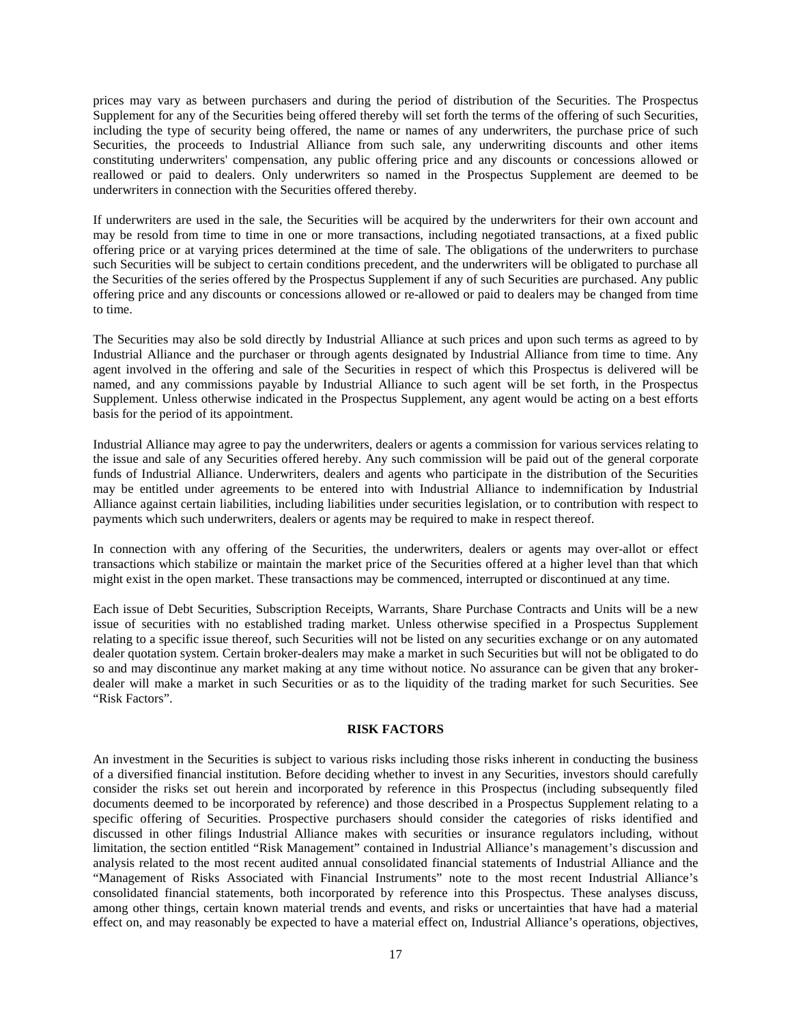prices may vary as between purchasers and during the period of distribution of the Securities. The Prospectus Supplement for any of the Securities being offered thereby will set forth the terms of the offering of such Securities, including the type of security being offered, the name or names of any underwriters, the purchase price of such Securities, the proceeds to Industrial Alliance from such sale, any underwriting discounts and other items constituting underwriters' compensation, any public offering price and any discounts or concessions allowed or reallowed or paid to dealers. Only underwriters so named in the Prospectus Supplement are deemed to be underwriters in connection with the Securities offered thereby.

If underwriters are used in the sale, the Securities will be acquired by the underwriters for their own account and may be resold from time to time in one or more transactions, including negotiated transactions, at a fixed public offering price or at varying prices determined at the time of sale. The obligations of the underwriters to purchase such Securities will be subject to certain conditions precedent, and the underwriters will be obligated to purchase all the Securities of the series offered by the Prospectus Supplement if any of such Securities are purchased. Any public offering price and any discounts or concessions allowed or re-allowed or paid to dealers may be changed from time to time.

The Securities may also be sold directly by Industrial Alliance at such prices and upon such terms as agreed to by Industrial Alliance and the purchaser or through agents designated by Industrial Alliance from time to time. Any agent involved in the offering and sale of the Securities in respect of which this Prospectus is delivered will be named, and any commissions payable by Industrial Alliance to such agent will be set forth, in the Prospectus Supplement. Unless otherwise indicated in the Prospectus Supplement, any agent would be acting on a best efforts basis for the period of its appointment.

Industrial Alliance may agree to pay the underwriters, dealers or agents a commission for various services relating to the issue and sale of any Securities offered hereby. Any such commission will be paid out of the general corporate funds of Industrial Alliance. Underwriters, dealers and agents who participate in the distribution of the Securities may be entitled under agreements to be entered into with Industrial Alliance to indemnification by Industrial Alliance against certain liabilities, including liabilities under securities legislation, or to contribution with respect to payments which such underwriters, dealers or agents may be required to make in respect thereof.

In connection with any offering of the Securities, the underwriters, dealers or agents may over-allot or effect transactions which stabilize or maintain the market price of the Securities offered at a higher level than that which might exist in the open market. These transactions may be commenced, interrupted or discontinued at any time.

Each issue of Debt Securities, Subscription Receipts, Warrants, Share Purchase Contracts and Units will be a new issue of securities with no established trading market. Unless otherwise specified in a Prospectus Supplement relating to a specific issue thereof, such Securities will not be listed on any securities exchange or on any automated dealer quotation system. Certain broker-dealers may make a market in such Securities but will not be obligated to do so and may discontinue any market making at any time without notice. No assurance can be given that any brokerdealer will make a market in such Securities or as to the liquidity of the trading market for such Securities. See "Risk Factors".

### **RISK FACTORS**

An investment in the Securities is subject to various risks including those risks inherent in conducting the business of a diversified financial institution. Before deciding whether to invest in any Securities, investors should carefully consider the risks set out herein and incorporated by reference in this Prospectus (including subsequently filed documents deemed to be incorporated by reference) and those described in a Prospectus Supplement relating to a specific offering of Securities. Prospective purchasers should consider the categories of risks identified and discussed in other filings Industrial Alliance makes with securities or insurance regulators including, without limitation, the section entitled "Risk Management" contained in Industrial Alliance's management's discussion and analysis related to the most recent audited annual consolidated financial statements of Industrial Alliance and the "Management of Risks Associated with Financial Instruments" note to the most recent Industrial Alliance's consolidated financial statements, both incorporated by reference into this Prospectus. These analyses discuss, among other things, certain known material trends and events, and risks or uncertainties that have had a material effect on, and may reasonably be expected to have a material effect on, Industrial Alliance's operations, objectives,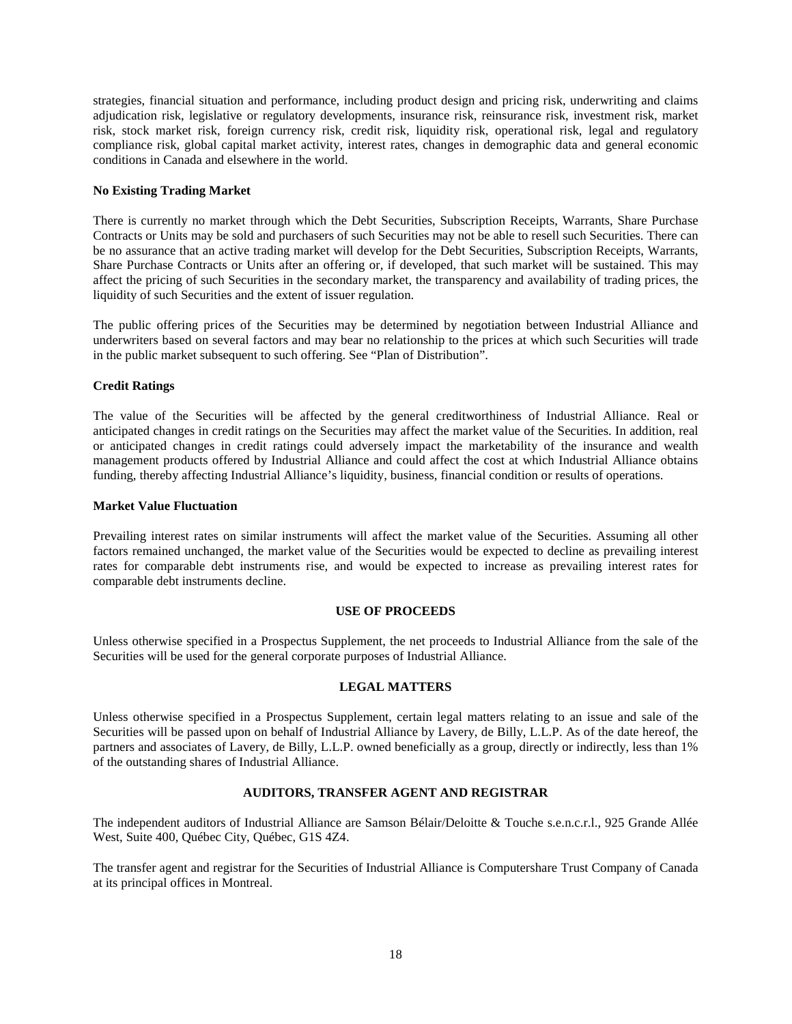strategies, financial situation and performance, including product design and pricing risk, underwriting and claims adjudication risk, legislative or regulatory developments, insurance risk, reinsurance risk, investment risk, market risk, stock market risk, foreign currency risk, credit risk, liquidity risk, operational risk, legal and regulatory compliance risk, global capital market activity, interest rates, changes in demographic data and general economic conditions in Canada and elsewhere in the world.

### **No Existing Trading Market**

There is currently no market through which the Debt Securities, Subscription Receipts, Warrants, Share Purchase Contracts or Units may be sold and purchasers of such Securities may not be able to resell such Securities. There can be no assurance that an active trading market will develop for the Debt Securities, Subscription Receipts, Warrants, Share Purchase Contracts or Units after an offering or, if developed, that such market will be sustained. This may affect the pricing of such Securities in the secondary market, the transparency and availability of trading prices, the liquidity of such Securities and the extent of issuer regulation.

The public offering prices of the Securities may be determined by negotiation between Industrial Alliance and underwriters based on several factors and may bear no relationship to the prices at which such Securities will trade in the public market subsequent to such offering. See "Plan of Distribution".

### **Credit Ratings**

The value of the Securities will be affected by the general creditworthiness of Industrial Alliance. Real or anticipated changes in credit ratings on the Securities may affect the market value of the Securities. In addition, real or anticipated changes in credit ratings could adversely impact the marketability of the insurance and wealth management products offered by Industrial Alliance and could affect the cost at which Industrial Alliance obtains funding, thereby affecting Industrial Alliance's liquidity, business, financial condition or results of operations.

### **Market Value Fluctuation**

Prevailing interest rates on similar instruments will affect the market value of the Securities. Assuming all other factors remained unchanged, the market value of the Securities would be expected to decline as prevailing interest rates for comparable debt instruments rise, and would be expected to increase as prevailing interest rates for comparable debt instruments decline.

# **USE OF PROCEEDS**

Unless otherwise specified in a Prospectus Supplement, the net proceeds to Industrial Alliance from the sale of the Securities will be used for the general corporate purposes of Industrial Alliance.

# **LEGAL MATTERS**

Unless otherwise specified in a Prospectus Supplement, certain legal matters relating to an issue and sale of the Securities will be passed upon on behalf of Industrial Alliance by Lavery, de Billy, L.L.P. As of the date hereof, the partners and associates of Lavery, de Billy, L.L.P. owned beneficially as a group, directly or indirectly, less than 1% of the outstanding shares of Industrial Alliance.

# **AUDITORS, TRANSFER AGENT AND REGISTRAR**

The independent auditors of Industrial Alliance are Samson Bélair/Deloitte & Touche s.e.n.c.r.l., 925 Grande Allée West, Suite 400, Québec City, Québec, G1S 4Z4.

The transfer agent and registrar for the Securities of Industrial Alliance is Computershare Trust Company of Canada at its principal offices in Montreal.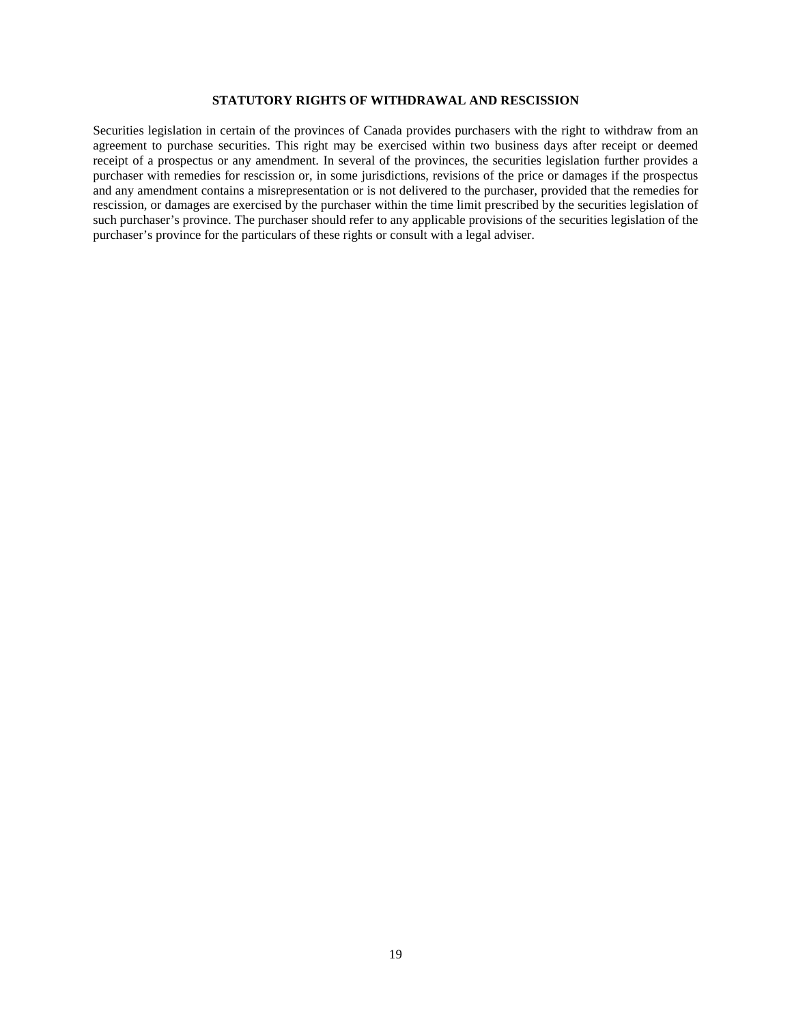# **STATUTORY RIGHTS OF WITHDRAWAL AND RESCISSION**

Securities legislation in certain of the provinces of Canada provides purchasers with the right to withdraw from an agreement to purchase securities. This right may be exercised within two business days after receipt or deemed receipt of a prospectus or any amendment. In several of the provinces, the securities legislation further provides a purchaser with remedies for rescission or, in some jurisdictions, revisions of the price or damages if the prospectus and any amendment contains a misrepresentation or is not delivered to the purchaser, provided that the remedies for rescission, or damages are exercised by the purchaser within the time limit prescribed by the securities legislation of such purchaser's province. The purchaser should refer to any applicable provisions of the securities legislation of the purchaser's province for the particulars of these rights or consult with a legal adviser.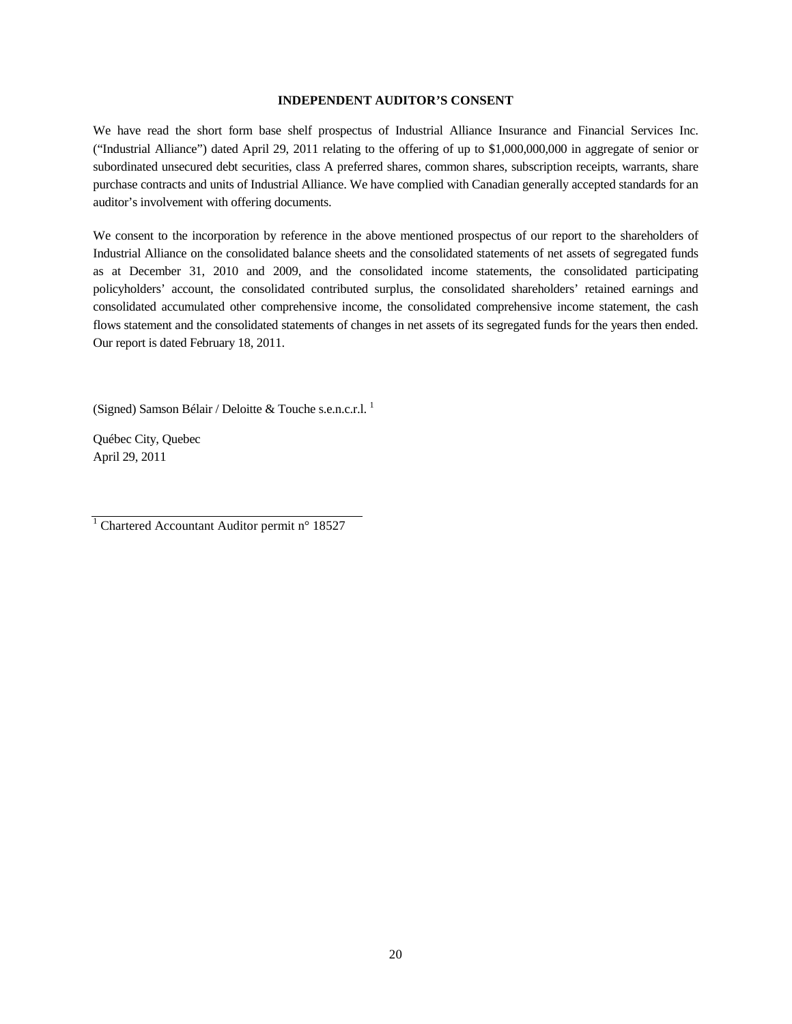#### **INDEPENDENT AUDITOR'S CONSENT**

We have read the short form base shelf prospectus of Industrial Alliance Insurance and Financial Services Inc. ("Industrial Alliance") dated April 29, 2011 relating to the offering of up to \$1,000,000,000 in aggregate of senior or subordinated unsecured debt securities, class A preferred shares, common shares, subscription receipts, warrants, share purchase contracts and units of Industrial Alliance. We have complied with Canadian generally accepted standards for an auditor's involvement with offering documents.

We consent to the incorporation by reference in the above mentioned prospectus of our report to the shareholders of Industrial Alliance on the consolidated balance sheets and the consolidated statements of net assets of segregated funds as at December 31, 2010 and 2009, and the consolidated income statements, the consolidated participating policyholders' account, the consolidated contributed surplus, the consolidated shareholders' retained earnings and consolidated accumulated other comprehensive income, the consolidated comprehensive income statement, the cash flows statement and the consolidated statements of changes in net assets of its segregated funds for the years then ended. Our report is dated February 18, 2011.

(Signed) Samson Bélair / Deloitte & Touche s.e.n.c.r.l. <sup>1</sup>

Québec City, Quebec April 29, 2011

<sup>1</sup> Chartered Accountant Auditor permit n° 18527